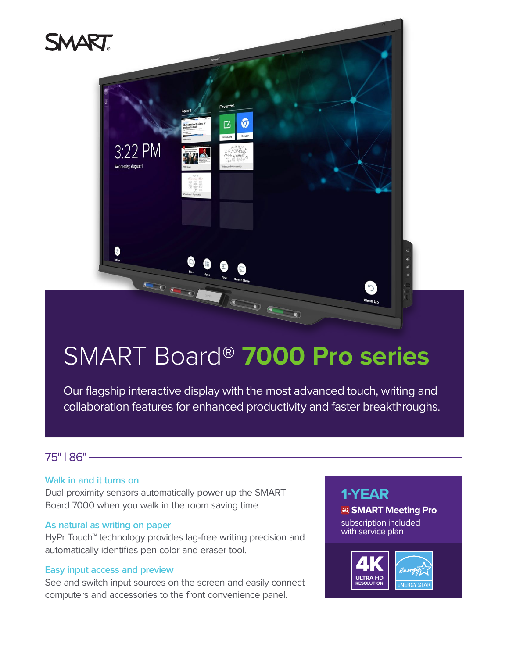

# SMART Board® **7000 Pro series**

Our flagship interactive display with the most advanced touch, writing and collaboration features for enhanced productivity and faster breakthroughs.

## 75" | 86"

## **Walk in and it turns on**

Dual proximity sensors automatically power up the SMART Board 7000 when you walk in the room saving time.

## **As natural as writing on paper**

HyPr Touch<sup>™</sup> technology provides lag-free writing precision and automatically identifies pen color and eraser tool.

#### **Easy input access and preview**

See and switch input sources on the screen and easily connect computers and accessories to the front convenience panel.

## **1-YEAR**

#### **SMART Meeting Pro**

subscription included with service plan

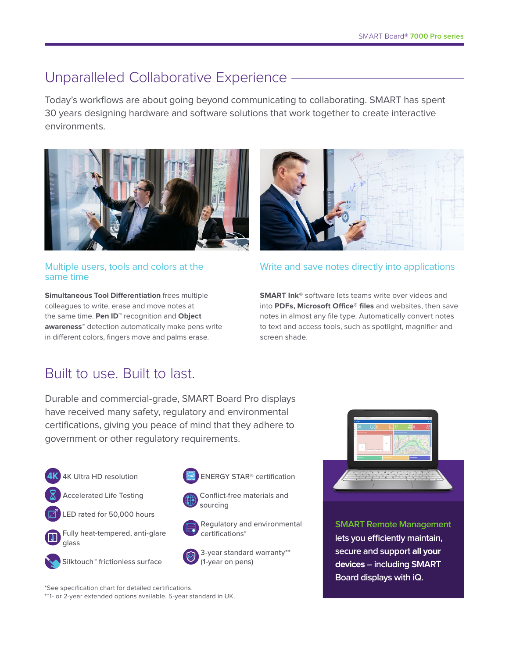# Unparalleled Collaborative Experience

Today's workflows are about going beyond communicating to collaborating. SMART has spent 30 years designing hardware and software solutions that work together to create interactive environments.



## Multiple users, tools and colors at the same time

**Simultaneous Tool Differentiation** frees multiple colleagues to write, erase and move notes at the same time. **Pen ID™** recognition and **Object awareness™** detection automatically make pens write in different colors, fingers move and palms erase.



## Write and save notes directly into applications

**SMART Ink®** software lets teams write over videos and into **PDFs, Microsoft Office® files** and websites, then save notes in almost any file type. Automatically convert notes to text and access tools, such as spotlight, magnifier and screen shade.

# Built to use. Built to last.

Durable and commercial-grade, SMART Board Pro displays have received many safety, regulatory and environmental certifications, giving you peace of mind that they adhere to government or other regulatory requirements.

- 4K Ultra HD resolution
- Accelerated Life Testing







 Silktouch™ frictionless surface





Conflict-free materials and sourcing





Regulatory and environmental certifications\*



3-year standard warranty\*\* (1-year on pens)



**SMART Remote Management lets you efficiently maintain, secure and support all your devices – including SMART Board displays with iQ.**

\*See specification chart for detailed certifications.

\*\*1- or 2-year extended options available. 5-year standard in UK.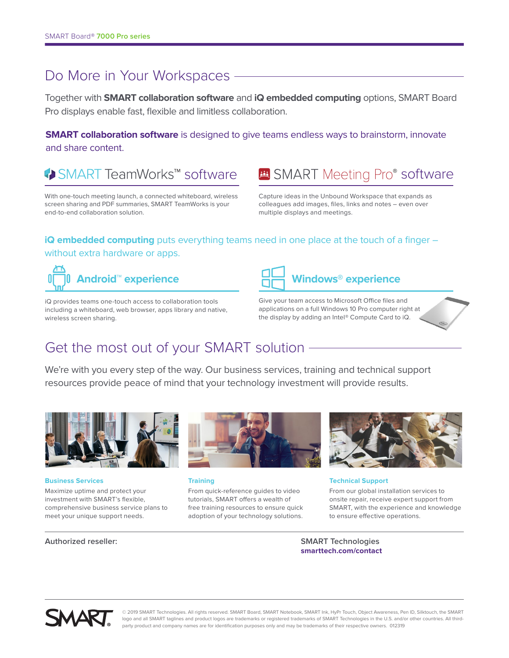## Do More in Your Workspaces -

Together with **SMART collaboration software** and **iQ embedded computing** options, SMART Board Pro displays enable fast, flexible and limitless collaboration.

**SMART collaboration software** is designed to give teams endless ways to brainstorm, innovate and share content.

◆ SMART TeamWorks™ software

With one-touch meeting launch, a connected whiteboard, wireless screen sharing and PDF summaries, SMART TeamWorks is your end-to-end collaboration solution.

Capture ideas in the Unbound Workspace that expands as colleagues add images, files, links and notes – even over multiple displays and meetings.

**B** SMART Meeting Pro<sup>®</sup> software

## **iQ embedded computing** puts everything teams need in one place at the touch of a finger – without extra hardware or apps.



iQ provides teams one-touch access to collaboration tools including a whiteboard, web browser, apps library and native, wireless screen sharing.



Give your team access to Microsoft Office files and applications on a full Windows 10 Pro computer right at the display by adding an Intel® Compute Card to iQ.

# Get the most out of your SMART solution

We're with you every step of the way. Our business services, training and technical support resources provide peace of mind that your technology investment will provide results.



**Business Services** Maximize uptime and protect your investment with SMART's flexible, comprehensive business service plans to meet your unique support needs.



**Training**

From quick-reference guides to video tutorials, SMART offers a wealth of free training resources to ensure quick adoption of your technology solutions.



**Technical Support**

From our global installation services to onsite repair, receive expert support from SMART, with the experience and knowledge to ensure effective operations.

#### **Authorized reseller: SMART Technologies**

**[smarttech.com/contact](http://smarttech.com/contact)**



© 2019 SMART Technologies. All rights reserved. SMART Board, SMART Notebook, SMART Ink, HyPr Touch, Object Awareness, Pen ID, Silktouch, the SMART logo and all SMART taglines and product logos are trademarks or registered trademarks of SMART Technologies in the U.S. and/or other countries. All thirdparty product and company names are for identification purposes only and may be trademarks of their respective owners. 012319